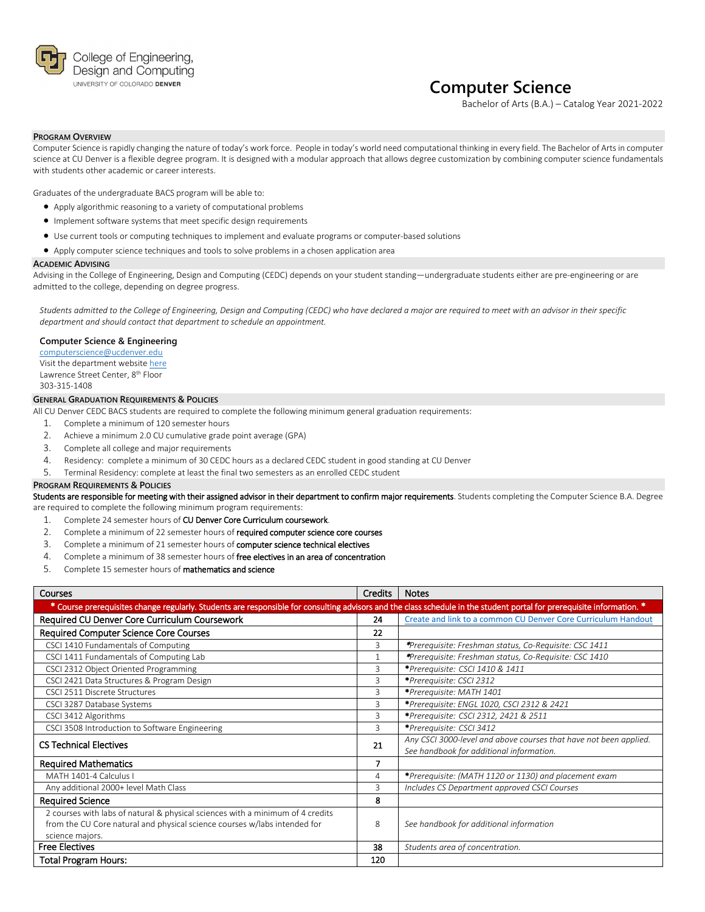

## **Computer Science**

Bachelor of Arts (B.A.) – Catalog Year 2021-2022

## **PROGRAM OVERVIEW**

Computer Science is rapidly changing the nature of today's work force. People in today's world need computational thinking in every field. The Bachelor of Arts in computer science at CU Denver is a flexible degree program. It is designed with a modular approach that allows degree customization by combining computer science fundamentals with students other academic or career interests.

Graduates of the undergraduate BACS program will be able to:

- Apply algorithmic reasoning to a variety of computational problems
- Implement software systems that meet specific design requirements
- Use current tools or computing techniques to implement and evaluate programs or computer-based solutions
- Apply computer science techniques and tools to solve problems in a chosen application area

#### **ACADEMIC ADVISING**

Advising in the College of Engineering, Design and Computing (CEDC) depends on your student standing—undergraduate students either are pre-engineering or are admitted to the college, depending on degree progress.

*Students admitted to the College of Engineering, Design and Computing (CEDC) who have declared a major are required to meet with an advisor in their specific department and should contact that department to schedule an appointment.*

## **Computer Science & Engineering**

[computerscience@ucdenver.edu](mailto:computerscience@ucdenver.edu) Visit the department websit[e here](http://www.ucdenver.edu/academics/colleges/Engineering/Programs/Computer-Science-and-Engineering/DegreePrograms/BachelorScience/Pages/BachelorScience.aspx) Lawrence Street Center, 8th Floor 303-315-1408

## **GENERAL GRADUATION REQUIREMENTS & POLICIES**

All CU Denver CEDC BACS students are required to complete the following minimum general graduation requirements:

- 1. Complete a minimum of 120 semester hours
- 2. Achieve a minimum 2.0 CU cumulative grade point average (GPA)
- 3. Complete all college and major requirements
- 4. Residency: complete a minimum of 30 CEDC hours as a declared CEDC student in good standing at CU Denver
- 5. Terminal Residency: complete at least the final two semesters as an enrolled CEDC student

#### **PROGRAM REQUIREMENTS & POLICIES**

Students are responsible for meeting with their assigned advisor in their department to confirm major requirements. Students completing the Computer Science B.A. Degree are required to complete the following minimum program requirements:

- 1. Complete 24 semester hours of CU Denver Core Curriculum coursework.
- 2. Complete a minimum of 22 semester hours of required computer science core courses
- 3. Complete a minimum of 21 semester hours of computer science technical electives
- 4. Complete a minimum of 38 semester hours of free electives in an area of concentration
- 5. Complete 15 semester hours of mathematics and science

| <b>Courses</b>                                                                                                                                                         | <b>Credits</b> | <b>Notes</b>                                                      |
|------------------------------------------------------------------------------------------------------------------------------------------------------------------------|----------------|-------------------------------------------------------------------|
| * Course prerequisites change regularly. Students are responsible for consulting advisors and the class schedule in the student portal for prerequisite information. * |                |                                                                   |
| Required CU Denver Core Curriculum Coursework                                                                                                                          | 24             | Create and link to a common CU Denver Core Curriculum Handout     |
| Required Computer Science Core Courses                                                                                                                                 | 22             |                                                                   |
| CSCI 1410 Fundamentals of Computing                                                                                                                                    | 3              | *Prerequisite: Freshman status, Co-Requisite: CSC 1411            |
| CSCI 1411 Fundamentals of Computing Lab                                                                                                                                |                | *Prerequisite: Freshman status, Co-Requisite: CSC 1410            |
| CSCI 2312 Object Oriented Programming                                                                                                                                  | 3              | *Prerequisite: CSCI 1410 & 1411                                   |
| CSCI 2421 Data Structures & Program Design                                                                                                                             | 3              | *Prerequisite: CSCI 2312                                          |
| CSCI 2511 Discrete Structures                                                                                                                                          | 3              | *Prerequisite: MATH 1401                                          |
| CSCI 3287 Database Systems                                                                                                                                             | 3              | *Prerequisite: ENGL 1020, CSCI 2312 & 2421                        |
| CSCI 3412 Algorithms                                                                                                                                                   | 3              | *Prerequisite: CSCI 2312, 2421 & 2511                             |
| CSCI 3508 Introduction to Software Engineering                                                                                                                         | 3              | *Prerequisite: CSCI 3412                                          |
| <b>CS Technical Electives</b>                                                                                                                                          | 21             | Any CSCI 3000-level and above courses that have not been applied. |
|                                                                                                                                                                        |                | See handbook for additional information.                          |
| <b>Required Mathematics</b>                                                                                                                                            |                |                                                                   |
| MATH 1401-4 Calculus I                                                                                                                                                 | 4              | *Prerequisite: (MATH 1120 or 1130) and placement exam             |
| Any additional 2000+ level Math Class                                                                                                                                  | 3              | Includes CS Department approved CSCI Courses                      |
| <b>Required Science</b>                                                                                                                                                | 8              |                                                                   |
| 2 courses with labs of natural & physical sciences with a minimum of 4 credits                                                                                         |                |                                                                   |
| from the CU Core natural and physical science courses w/labs intended for                                                                                              | 8              | See handbook for additional information                           |
| science majors.                                                                                                                                                        |                |                                                                   |
| <b>Free Electives</b>                                                                                                                                                  | 38             | Students area of concentration.                                   |
| Total Program Hours:                                                                                                                                                   | 120            |                                                                   |